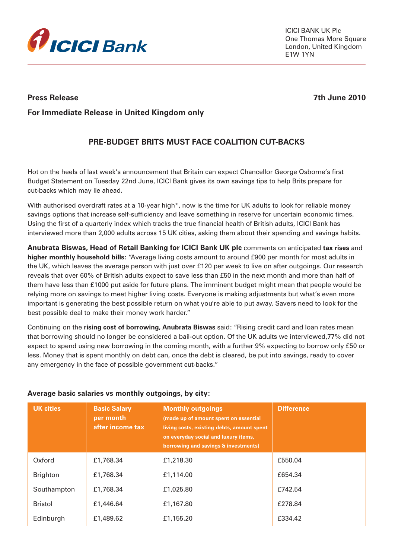

ICICI BANK UK Plc One Thomas More Square London, United Kingdom E1W 1YN

**Press Release 7th June 2010**

# **For Immediate Release in United Kingdom only**

# **PRE-BUDGET BRITS MUST FACE COALITION CUT-BACKS**

Hot on the heels of last week's announcement that Britain can expect Chancellor George Osborne's first Budget Statement on Tuesday 22nd June, ICICI Bank gives its own savings tips to help Brits prepare for cut-backs which may lie ahead.

With authorised overdraft rates at a 10-year high\*, now is the time for UK adults to look for reliable money savings options that increase self-sufficiency and leave something in reserve for uncertain economic times. Using the first of a quarterly index which tracks the true financial health of British adults, ICICI Bank has interviewed more than 2,000 adults across 15 UK cities, asking them about their spending and savings habits.

**Anubrata Biswas, Head of Retail Banking for ICICI Bank UK plc** comments on anticipated **tax rises** and **higher monthly household bills:** "Average living costs amount to around £900 per month for most adults in the UK, which leaves the average person with just over £120 per week to live on after outgoings. Our research reveals that over 60% of British adults expect to save less than £50 in the next month and more than half of them have less than £1000 put aside for future plans. The imminent budget might mean that people would be relying more on savings to meet higher living costs. Everyone is making adjustments but what's even more important is generating the best possible return on what you're able to put away. Savers need to look for the best possible deal to make their money work harder."

Continuing on the **rising cost of borrowing, Anubrata Biswas** said: "Rising credit card and loan rates mean that borrowing should no longer be considered a bail-out option. Of the UK adults we interviewed,77% did not expect to spend using new borrowing in the coming month, with a further 9% expecting to borrow only £50 or less. Money that is spent monthly on debt can, once the debt is cleared, be put into savings, ready to cover any emergency in the face of possible government cut-backs."

| <b>UK cities</b> | <b>Basic Salary</b><br>per month<br>after income tax | <b>Monthly outgoings</b><br>(made up of amount spent on essential<br>living costs, existing debts, amount spent<br>on everyday social and luxury items,<br>borrowing and savings & investments) | <b>Difference</b> |
|------------------|------------------------------------------------------|-------------------------------------------------------------------------------------------------------------------------------------------------------------------------------------------------|-------------------|
| Oxford           | £1,768.34                                            | £1,218.30                                                                                                                                                                                       | £550.04           |
| <b>Brighton</b>  | £1,768.34                                            | £1,114.00                                                                                                                                                                                       | £654.34           |
| Southampton      | £1,768.34                                            | £1,025.80                                                                                                                                                                                       | £742.54           |
| <b>Bristol</b>   | £1,446.64                                            | £1,167.80                                                                                                                                                                                       | £278.84           |
| Edinburgh        | £1,489.62                                            | £1,155.20                                                                                                                                                                                       | £334.42           |

## **Average basic salaries vs monthly outgoings, by city:**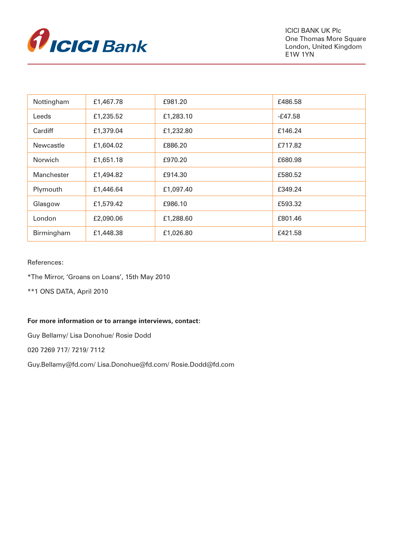

| Nottingham       | £1,467.78 | £981.20   | £486.58 |
|------------------|-----------|-----------|---------|
| Leeds            | £1,235.52 | £1,283.10 | -£47.58 |
| Cardiff          | £1,379.04 | £1,232.80 | £146.24 |
| <b>Newcastle</b> | £1,604.02 | £886.20   | £717.82 |
| <b>Norwich</b>   | £1,651.18 | £970.20   | £680.98 |
| Manchester       | £1,494.82 | £914.30   | £580.52 |
| Plymouth         | £1,446.64 | £1,097.40 | £349.24 |
| Glasgow          | £1,579.42 | £986.10   | £593.32 |
| London           | £2,090.06 | £1,288.60 | £801.46 |
| Birmingham       | £1,448.38 | £1,026.80 | £421.58 |

## References:

\*The Mirror, 'Groans on Loans', 15th May 2010

\*\*1 ONS DATA, April 2010

### **For more information or to arrange interviews, contact:**

Guy Bellamy/ Lisa Donohue/ Rosie Dodd

020 7269 717/ 7219/ 7112

Guy.Bellamy@fd.com/ Lisa.Donohue@fd.com/ Rosie.Dodd@fd.com